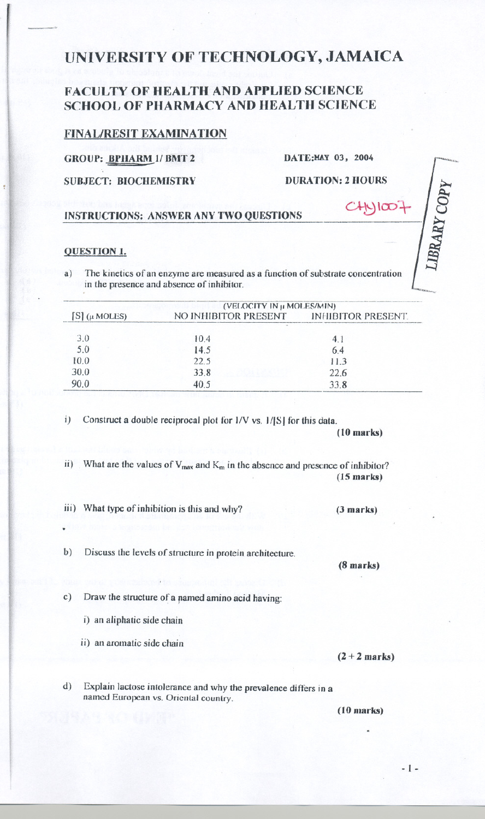# UNIVERSITY OF TECHNOLOGY, JAMAICA

## **FACULTY OF HEALTH AND APPLIED SCIENCE SCHOOL OF PHARMACY AND HEALTH SCIENCE**

### **FINAL/RESIT EXAMINATION**

### **GROUP: BPHARM 1/ BMT 2**

DATE:MAY 03, 2004

**SUBJECT: BIOCHEMISTRY** 

**DURATION: 2 HOURS** 

 $N$  $\infty$ .

LIBRARY COPY

#### **INSTRUCTIONS: ANSWER ANY TWO QUESTIONS**

#### **QUESTION 1.**

The kinetics of an enzyme are measured as a function of substrate concentration  $a)$ in the presence and absence of inhibitor.

| $S$ ( $\mu$ MOLES) | (VELOCITY IN µ MOLES/MIN)               |      |
|--------------------|-----------------------------------------|------|
|                    | NO INHIBITOR PRESENT INHIBITOR PRESENT. |      |
| 3.0                | 10.4                                    |      |
| 5.0                | 14.5                                    | 64   |
| 10.0               | 22.5                                    | 113  |
| 30.0               | 33.8                                    | 22.6 |
|                    | 40.5                                    | 33.8 |

 $\mathbf{i}$ Construct a double reciprocal plot for I/V vs. I/[S] for this data.

 $(10$  marks)

ii) What are the values of  $V_{max}$  and  $K_m$  in the absence and presence of inhibitor?  $(15$  marks)

iii) What type of inhibition is this and why?

Discuss the levels of structure in protein architecture.  $b)$ 

 $(8$  marks)

 $(3 marks)$ 

 $c)$ Draw the structure of a named amino acid having:

i) an aliphatic side chain

ii) an aromatic side chain

 $(2 + 2 marks)$ 

 $d)$ Explain lactose intolerance and why the prevalence differs in a named European vs. Oriental country.

 $(10$  marks)

 $-1-$